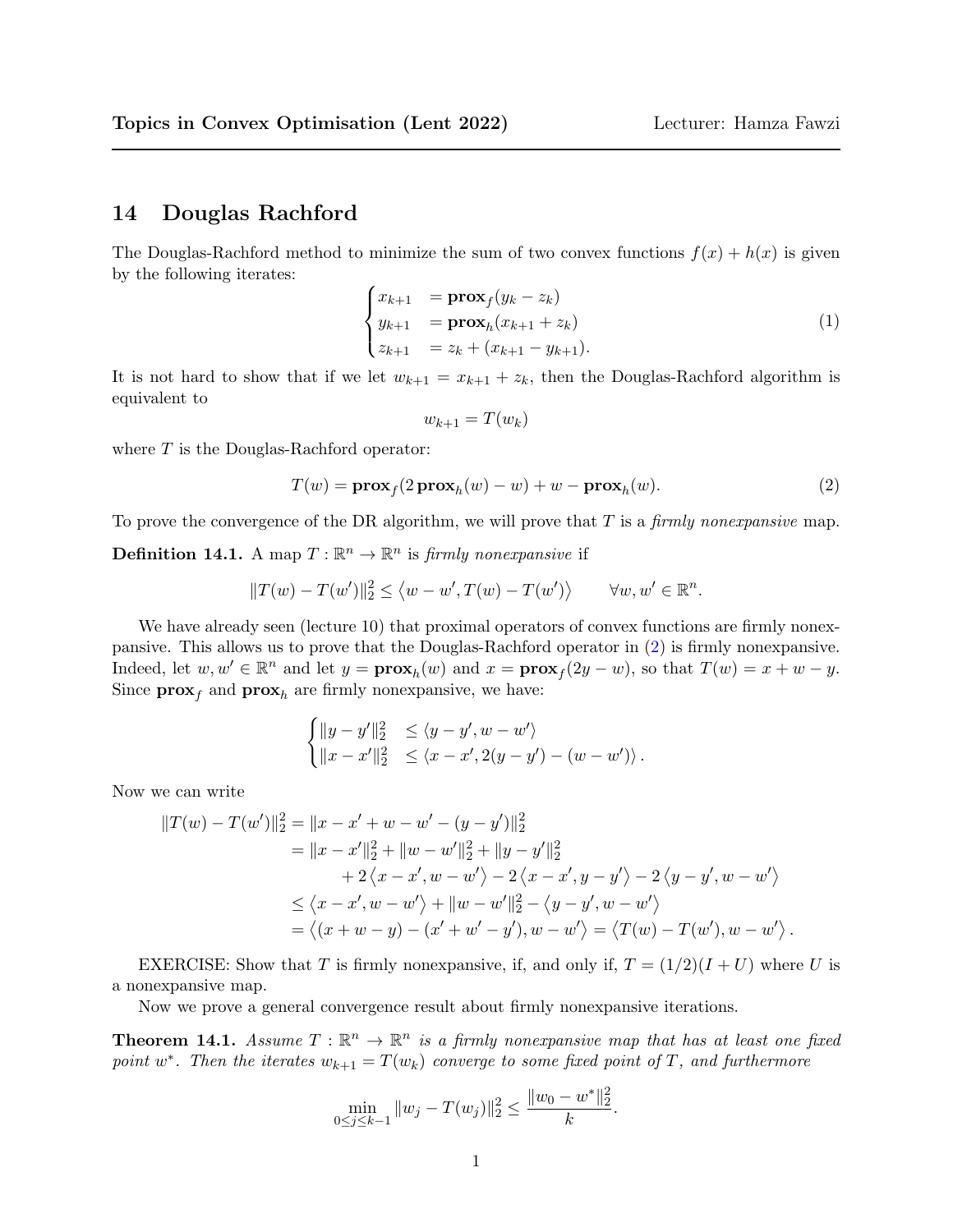## 14 Douglas Rachford

The Douglas-Rachford method to minimize the sum of two convex functions  $f(x) + h(x)$  is given by the following iterates:

$$
\begin{cases}\nx_{k+1} = \mathbf{prox}_f(y_k - z_k) \\
y_{k+1} = \mathbf{prox}_h(x_{k+1} + z_k) \\
z_{k+1} = z_k + (x_{k+1} - y_{k+1}).\n\end{cases}
$$
\n(1)

It is not hard to show that if we let  $w_{k+1} = x_{k+1} + z_k$ , then the Douglas-Rachford algorithm is equivalent to

$$
w_{k+1} = T(w_k)
$$

where  ${\cal T}$  is the Douglas-Rachford operator:

<span id="page-0-0"></span>
$$
T(w) = \mathbf{prox}_f(2\mathbf{prox}_h(w) - w) + w - \mathbf{prox}_h(w).
$$
 (2)

To prove the convergence of the DR algorithm, we will prove that  $T$  is a *firmly nonexpansive* map.

**Definition 14.1.** A map  $T : \mathbb{R}^n \to \mathbb{R}^n$  is *firmly nonexpansive* if

$$
||T(w) - T(w')||_2^2 \le \langle w - w', T(w) - T(w') \rangle \qquad \forall w, w' \in \mathbb{R}^n.
$$

We have already seen (lecture 10) that proximal operators of convex functions are firmly nonexpansive. This allows us to prove that the Douglas-Rachford operator in [\(2\)](#page-0-0) is firmly nonexpansive. Indeed, let  $w, w' \in \mathbb{R}^n$  and let  $y = \mathbf{prox}_h(w)$  and  $x = \mathbf{prox}_f(2y - w)$ , so that  $T(w) = x + w - y$ . Since  $\mathbf{prox}_f$  and  $\mathbf{prox}_h$  are firmly nonexpansive, we have:

$$
\begin{cases} ||y - y'||_2^2 &\leq \langle y - y', w - w' \rangle \\ ||x - x'||_2^2 &\leq \langle x - x', 2(y - y') - (w - w') \rangle. \end{cases}
$$

Now we can write

$$
||T(w) - T(w')||_2^2 = ||x - x' + w - w' - (y - y')||_2^2
$$
  
=  $||x - x'||_2^2 + ||w - w'||_2^2 + ||y - y'||_2^2$   
+  $2\langle x - x', w - w' \rangle - 2\langle x - x', y - y' \rangle - 2\langle y - y', w - w' \rangle$   
 $\leq \langle x - x', w - w' \rangle + ||w - w'||_2^2 - \langle y - y', w - w' \rangle$   
=  $\langle (x + w - y) - (x' + w' - y'), w - w' \rangle = \langle T(w) - T(w'), w - w' \rangle$ .

EXERCISE: Show that T is firmly nonexpansive, if, and only if,  $T = (1/2)(I + U)$  where U is a nonexpansive map.

Now we prove a general convergence result about firmly nonexpansive iterations.

**Theorem 14.1.** Assume  $T : \mathbb{R}^n \to \mathbb{R}^n$  is a firmly nonexpansive map that has at least one fixed point w<sup>\*</sup>. Then the iterates  $w_{k+1} = T(w_k)$  converge to some fixed point of T, and furthermore

$$
\min_{0 \le j \le k-1} \|w_j - T(w_j)\|_2^2 \le \frac{\|w_0 - w^*\|_2^2}{k}.
$$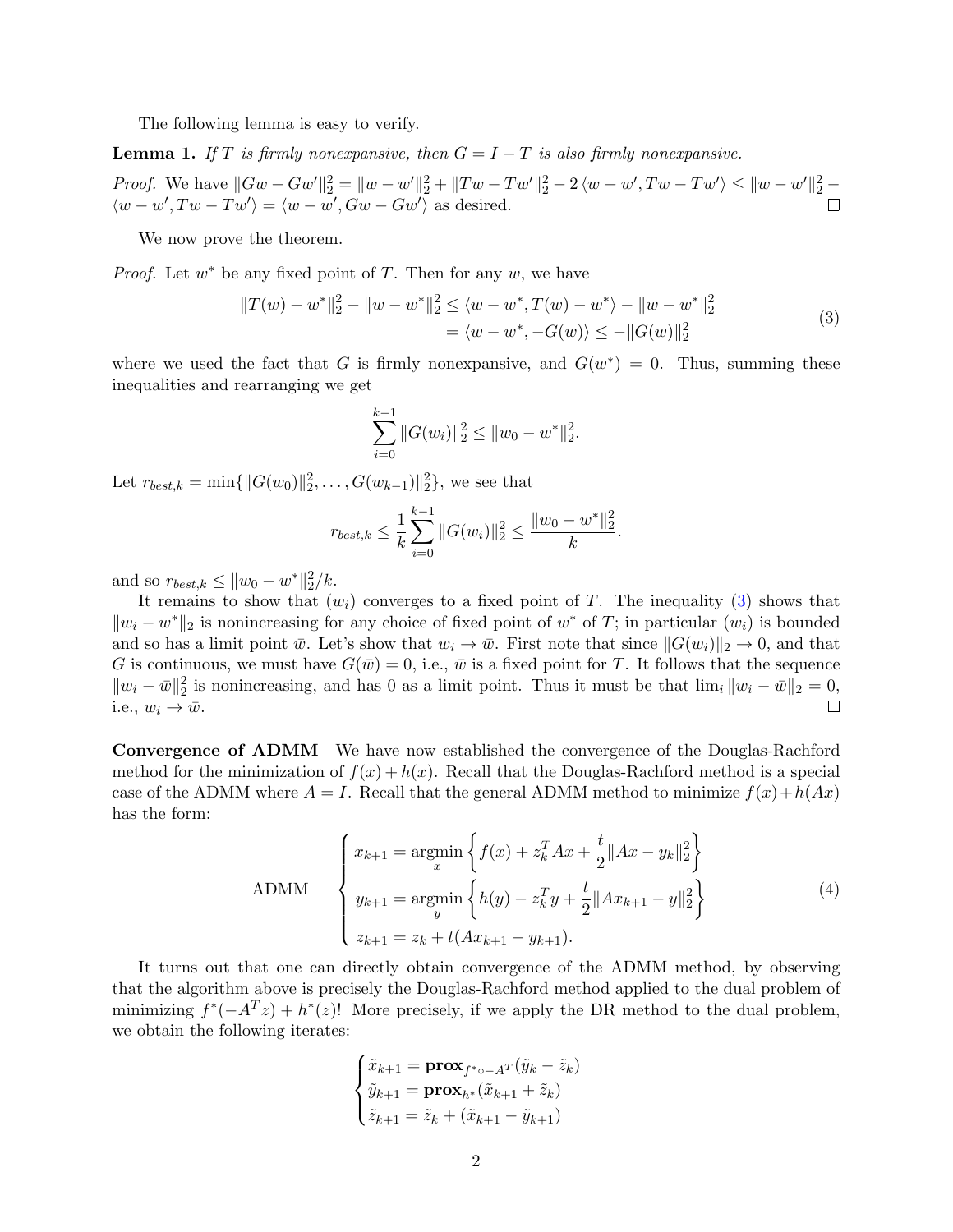The following lemma is easy to verify.

**Lemma 1.** If T is firmly nonexpansive, then  $G = I - T$  is also firmly nonexpansive.

*Proof.* We have  $||Gw - Gw'||_2^2 = ||w - w'||_2^2 + ||Tw - Tw'||_2^2 - 2\langle w - w', Tw - Tw'\rangle \le ||w - w'||_2^2 - 2\langle w - w', Tw - Tw'\rangle$  $\langle w - w', Tw - Tw' \rangle = \langle w - w', Gw - Gw' \rangle$  as desired.

We now prove the theorem.

*Proof.* Let  $w^*$  be any fixed point of T. Then for any  $w$ , we have

<span id="page-1-0"></span>
$$
||T(w) - w^*||_2^2 - ||w - w^*||_2^2 \le \langle w - w^*, T(w) - w^* \rangle - ||w - w^*||_2^2
$$
  
=  $\langle w - w^*, -G(w) \rangle \le -||G(w)||_2^2$  (3)

where we used the fact that G is firmly nonexpansive, and  $G(w^*) = 0$ . Thus, summing these inequalities and rearranging we get

$$
\sum_{i=0}^{k-1} ||G(w_i)||_2^2 \le ||w_0 - w^*||_2^2.
$$

Let  $r_{best,k} = \min\{\|G(w_0)\|_2^2, \ldots, G(w_{k-1})\|_2^2\}$ , we see that

$$
r_{best,k} \leq \frac{1}{k} \sum_{i=0}^{k-1} ||G(w_i)||_2^2 \leq \frac{||w_0 - w^*||_2^2}{k}.
$$

and so  $r_{best,k} \leq ||w_0 - w^*||_2^2/k$ .

It remains to show that  $(w_i)$  converges to a fixed point of T. The inequality [\(3\)](#page-1-0) shows that  $||w_i - w^*||_2$  is nonincreasing for any choice of fixed point of w<sup>\*</sup> of T; in particular  $(w_i)$  is bounded and so has a limit point  $\bar{w}$ . Let's show that  $w_i \to \bar{w}$ . First note that since  $||G(w_i)||_2 \to 0$ , and that G is continuous, we must have  $G(\bar{w}) = 0$ , i.e.,  $\bar{w}$  is a fixed point for T. It follows that the sequence  $||w_i - \bar{w}||_2^2$  is nonincreasing, and has 0 as a limit point. Thus it must be that  $\lim_i ||w_i - \bar{w}||_2 = 0$ , i.e.,  $w_i \rightarrow \bar{w}$ .  $\Box$ 

Convergence of ADMM We have now established the convergence of the Douglas-Rachford method for the minimization of  $f(x) + h(x)$ . Recall that the Douglas-Rachford method is a special case of the ADMM where  $A = I$ . Recall that the general ADMM method to minimize  $f(x) + h(Ax)$ has the form:

<span id="page-1-1"></span>
$$
\text{ADMM} \quad\n\begin{cases}\nx_{k+1} = \operatorname*{argmin}_{x} \left\{ f(x) + z_k^T A x + \frac{t}{2} \|A x - y_k\|_2^2 \right\} \\
y_{k+1} = \operatorname*{argmin}_{y} \left\{ h(y) - z_k^T y + \frac{t}{2} \|A x_{k+1} - y\|_2^2 \right\} \\
z_{k+1} = z_k + t(A x_{k+1} - y_{k+1}).\n\end{cases}\n\tag{4}
$$

It turns out that one can directly obtain convergence of the ADMM method, by observing that the algorithm above is precisely the Douglas-Rachford method applied to the dual problem of minimizing  $f^*(-A^Tz) + h^*(z)!$  More precisely, if we apply the DR method to the dual problem, we obtain the following iterates:

$$
\begin{cases} \tilde{x}_{k+1} = \mathbf{prox}_{f^* \circ -A^T}(\tilde{y}_k - \tilde{z}_k) \\ \tilde{y}_{k+1} = \mathbf{prox}_{h^*}(\tilde{x}_{k+1} + \tilde{z}_k) \\ \tilde{z}_{k+1} = \tilde{z}_k + (\tilde{x}_{k+1} - \tilde{y}_{k+1}) \end{cases}
$$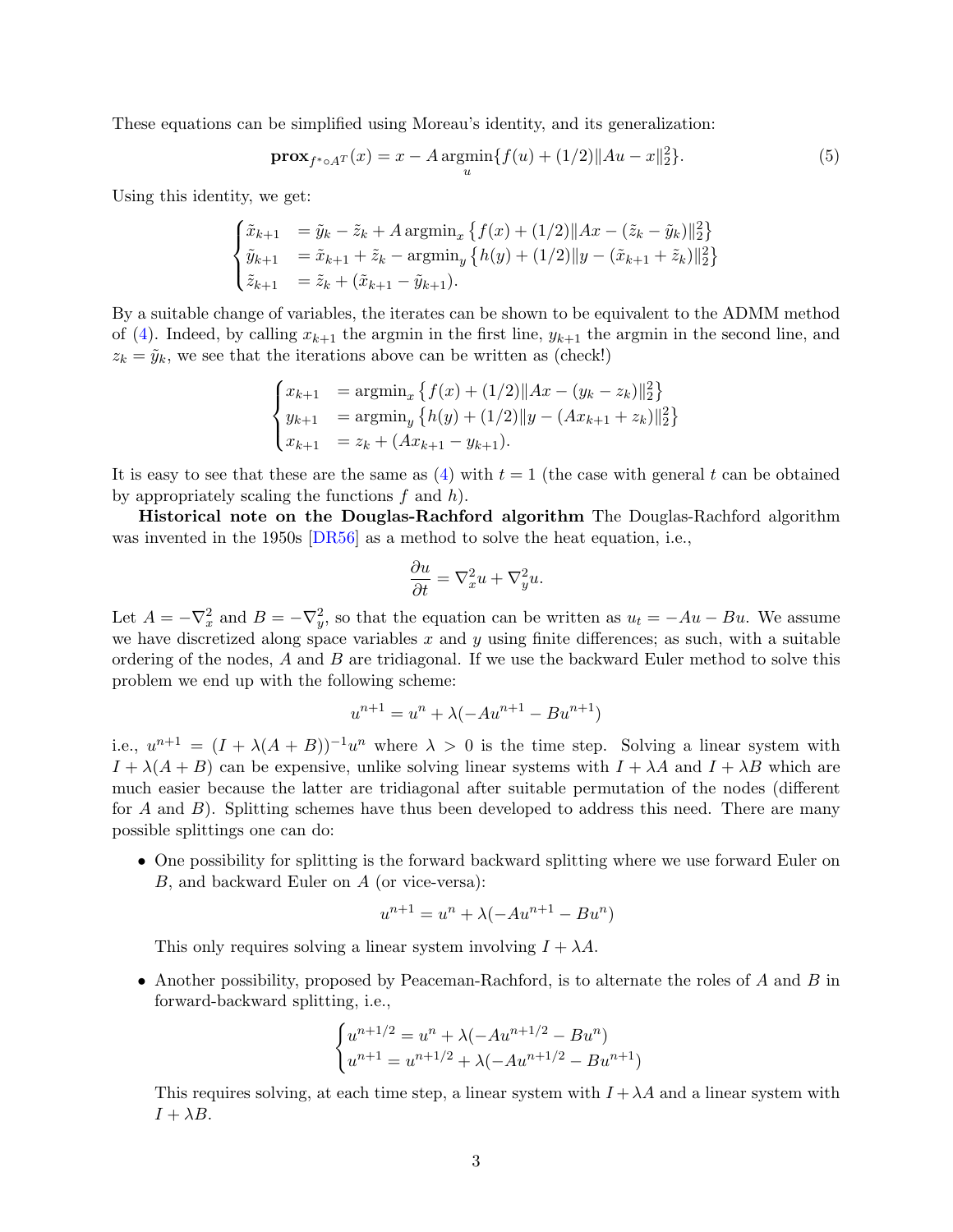<span id="page-2-0"></span>These equations can be simplified using Moreau's identity, and its generalization:

$$
\mathbf{prox}_{f^* \circ A^T}(x) = x - A \operatorname*{argmin}_{u} \{ f(u) + (1/2) \|Au - x\|_2^2 \}.
$$
 (5)

Using this identity, we get:

$$
\begin{cases} \tilde{x}_{k+1} &= \tilde{y}_k - \tilde{z}_k + A \operatorname{argmin}_x \left\{ f(x) + (1/2) \|Ax - (\tilde{z}_k - \tilde{y}_k)\|_2^2 \right\} \\ \tilde{y}_{k+1} &= \tilde{x}_{k+1} + \tilde{z}_k - \operatorname{argmin}_y \left\{ h(y) + (1/2) \|y - (\tilde{x}_{k+1} + \tilde{z}_k)\|_2^2 \right\} \\ \tilde{z}_{k+1} &= \tilde{z}_k + (\tilde{x}_{k+1} - \tilde{y}_{k+1}). \end{cases}
$$

By a suitable change of variables, the iterates can be shown to be equivalent to the ADMM method of [\(4\)](#page-1-1). Indeed, by calling  $x_{k+1}$  the argmin in the first line,  $y_{k+1}$  the argmin in the second line, and  $z_k = \tilde{y}_k$ , we see that the iterations above can be written as (check!)

$$
\begin{cases} x_{k+1} = \operatorname{argmin}_x \left\{ f(x) + (1/2) \| Ax - (y_k - z_k) \|_2^2 \right\} \\ y_{k+1} = \operatorname{argmin}_y \left\{ h(y) + (1/2) \| y - (Ax_{k+1} + z_k) \|_2^2 \right\} \\ x_{k+1} = z_k + (Ax_{k+1} - y_{k+1}). \end{cases}
$$

It is easy to see that these are the same as  $(4)$  with  $t = 1$  (the case with general t can be obtained by appropriately scaling the functions  $f$  and  $h$ ).

Historical note on the Douglas-Rachford algorithm The Douglas-Rachford algorithm was invented in the 1950s [\[DR56\]](#page-3-0) as a method to solve the heat equation, i.e.,

$$
\frac{\partial u}{\partial t} = \nabla_x^2 u + \nabla_y^2 u.
$$

Let  $A = -\nabla_x^2$  and  $B = -\nabla_y^2$ , so that the equation can be written as  $u_t = -Au - Bu$ . We assume we have discretized along space variables  $x$  and  $y$  using finite differences; as such, with a suitable ordering of the nodes, A and B are tridiagonal. If we use the backward Euler method to solve this problem we end up with the following scheme:

$$
u^{n+1} = u^n + \lambda(-Au^{n+1} - Bu^{n+1})
$$

i.e.,  $u^{n+1} = (I + \lambda(A + B))^{-1}u^n$  where  $\lambda > 0$  is the time step. Solving a linear system with  $I + \lambda(A + B)$  can be expensive, unlike solving linear systems with  $I + \lambda A$  and  $I + \lambda B$  which are much easier because the latter are tridiagonal after suitable permutation of the nodes (different for A and  $B$ ). Splitting schemes have thus been developed to address this need. There are many possible splittings one can do:

• One possibility for splitting is the forward backward splitting where we use forward Euler on B, and backward Euler on A (or vice-versa):

$$
u^{n+1} = u^n + \lambda(-Au^{n+1} - Bu^n)
$$

This only requires solving a linear system involving  $I + \lambda A$ .

• Another possibility, proposed by Peaceman-Rachford, is to alternate the roles of  $A$  and  $B$  in forward-backward splitting, i.e.,

$$
\begin{cases} u^{n+1/2} = u^n + \lambda(-Au^{n+1/2} - Bu^n) \\ u^{n+1} = u^{n+1/2} + \lambda(-Au^{n+1/2} - Bu^{n+1}) \end{cases}
$$

This requires solving, at each time step, a linear system with  $I + \lambda A$  and a linear system with  $I + \lambda B$ .